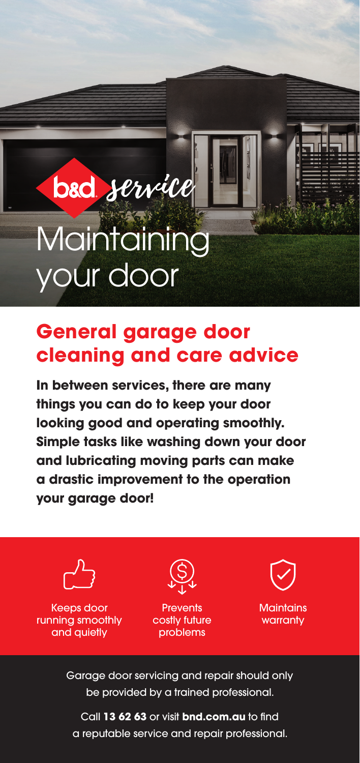**Maintaining** your door

bad *service* 

## **General garage door cleaning and care advice**

**In between services, there are many things you can do to keep your door looking good and operating smoothly. Simple tasks like washing down your door and lubricating moving parts can make a drastic improvement to the operation your garage door!**



Garage door servicing and repair should only be provided by a trained professional.

Call **13 62 63** or visit **bnd.com.au** to find a reputable service and repair professional.